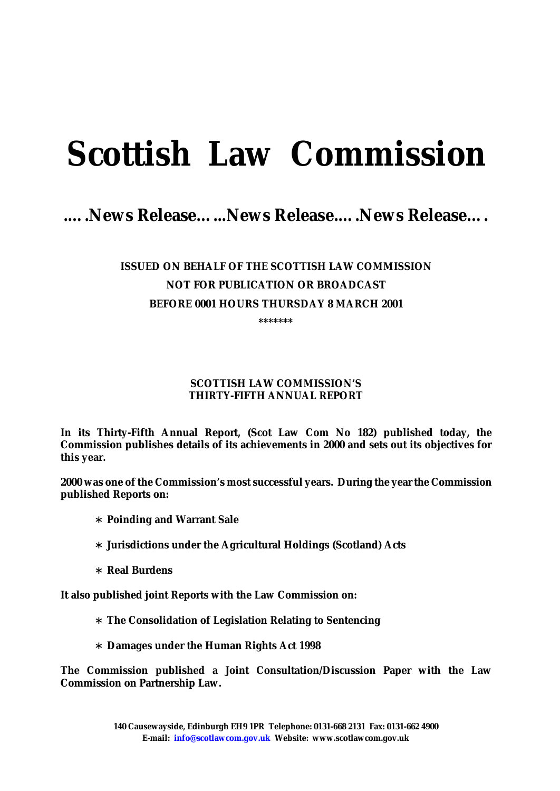# **Scottish Law Commission**

## *.….News Release…...News Release.….News Release….*

## **ISSUED ON BEHALF OF THE SCOTTISH LAW COMMISSION NOT FOR PUBLICATION OR BROADCAST BEFORE 0001 HOURS THURSDAY 8 MARCH 2001**

**\*\*\*\*\*\*\***

#### **SCOTTISH LAW COMMISSION'S THIRTY-FIFTH ANNUAL REPORT**

**In its Thirty-Fifth Annual Report, (Scot Law Com No 182) published today, the Commission publishes details of its achievements in 2000 and sets out its objectives for this year.** 

**2000 was one of the Commission's most successful years. During the year the Commission published Reports on:** 

∗ **Poinding and Warrant Sale** 

∗ **Jurisdictions under the Agricultural Holdings (Scotland) Acts** 

∗ **Real Burdens** 

**It also published joint Reports with the Law Commission on:** 

∗ **The Consolidation of Legislation Relating to Sentencing** 

∗ **Damages under the Human Rights Act 1998** 

**The Commission published a Joint Consultation/Discussion Paper with the Law Commission on Partnership Law.**